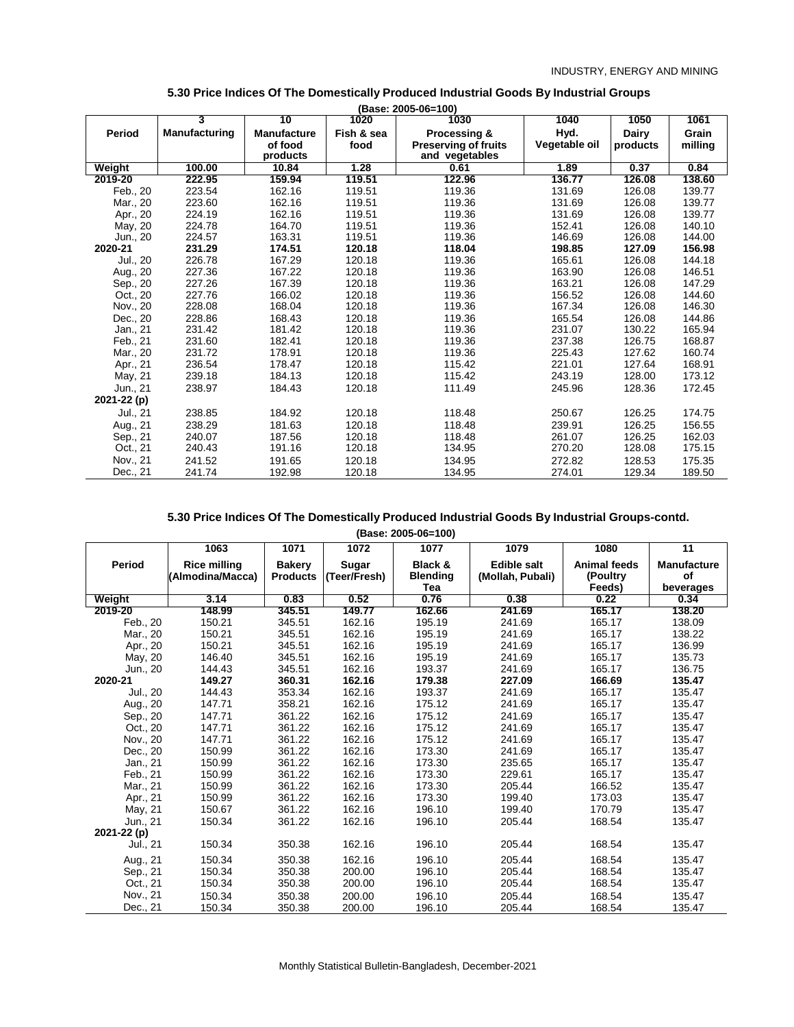|             | 3             | 10                 | 1020       | (Base: 2005-06=100)<br>1030 | 1040          | 1050     | 1061    |
|-------------|---------------|--------------------|------------|-----------------------------|---------------|----------|---------|
| Period      | Manufacturing | <b>Manufacture</b> | Fish & sea | Processing &                | Hyd.          | Dairy    | Grain   |
|             |               | of food            | food       | <b>Preserving of fruits</b> | Vegetable oil | products | milling |
|             |               | products           |            | and vegetables              |               |          |         |
| Weight      | 100.00        | 10.84              | 1.28       | 0.61                        | 1.89          | 0.37     | 0.84    |
| 2019-20     | 222.95        | 159.94             | 119.51     | 122.96                      | 136.77        | 126.08   | 138.60  |
| Feb., 20    | 223.54        | 162.16             | 119.51     | 119.36                      | 131.69        | 126.08   | 139.77  |
| Mar., 20    | 223.60        | 162.16             | 119.51     | 119.36                      | 131.69        | 126.08   | 139.77  |
| Apr., 20    | 224.19        | 162.16             | 119.51     | 119.36                      | 131.69        | 126.08   | 139.77  |
| May, 20     | 224.78        | 164.70             | 119.51     | 119.36                      | 152.41        | 126.08   | 140.10  |
| Jun., 20    | 224.57        | 163.31             | 119.51     | 119.36                      | 146.69        | 126.08   | 144.00  |
| 2020-21     | 231.29        | 174.51             | 120.18     | 118.04                      | 198.85        | 127.09   | 156.98  |
| Jul., 20    | 226.78        | 167.29             | 120.18     | 119.36                      | 165.61        | 126.08   | 144.18  |
| Aug., 20    | 227.36        | 167.22             | 120.18     | 119.36                      | 163.90        | 126.08   | 146.51  |
| Sep., 20    | 227.26        | 167.39             | 120.18     | 119.36                      | 163.21        | 126.08   | 147.29  |
| Oct., 20    | 227.76        | 166.02             | 120.18     | 119.36                      | 156.52        | 126.08   | 144.60  |
| Nov., 20    | 228.08        | 168.04             | 120.18     | 119.36                      | 167.34        | 126.08   | 146.30  |
| Dec., 20    | 228.86        | 168.43             | 120.18     | 119.36                      | 165.54        | 126.08   | 144.86  |
| Jan., 21    | 231.42        | 181.42             | 120.18     | 119.36                      | 231.07        | 130.22   | 165.94  |
| Feb., 21    | 231.60        | 182.41             | 120.18     | 119.36                      | 237.38        | 126.75   | 168.87  |
| Mar., 20    | 231.72        | 178.91             | 120.18     | 119.36                      | 225.43        | 127.62   | 160.74  |
| Apr., 21    | 236.54        | 178.47             | 120.18     | 115.42                      | 221.01        | 127.64   | 168.91  |
| May, 21     | 239.18        | 184.13             | 120.18     | 115.42                      | 243.19        | 128.00   | 173.12  |
| Jun., 21    | 238.97        | 184.43             | 120.18     | 111.49                      | 245.96        | 128.36   | 172.45  |
| 2021-22 (p) |               |                    |            |                             |               |          |         |
| Jul., 21    | 238.85        | 184.92             | 120.18     | 118.48                      | 250.67        | 126.25   | 174.75  |
| Aug., 21    | 238.29        | 181.63             | 120.18     | 118.48                      | 239.91        | 126.25   | 156.55  |
| Sep., 21    | 240.07        | 187.56             | 120.18     | 118.48                      | 261.07        | 126.25   | 162.03  |
| Oct., 21    | 240.43        | 191.16             | 120.18     | 134.95                      | 270.20        | 128.08   | 175.15  |
| Nov., 21    | 241.52        | 191.65             | 120.18     | 134.95                      | 272.82        | 128.53   | 175.35  |
| Dec., 21    | 241.74        | 192.98             | 120.18     | 134.95                      | 274.01        | 129.34   | 189.50  |

### **5.30 Price Indices Of The Domestically Produced Industrial Goods By Industrial Groups**

**(Base: 2005-06=100)**

|               | 1063                                    | 1071                             | 1072                  | 1077                       | 1079                                   | 1080                            | 11                       |
|---------------|-----------------------------------------|----------------------------------|-----------------------|----------------------------|----------------------------------------|---------------------------------|--------------------------|
| <b>Period</b> | <b>Rice milling</b><br>(Almodina/Macca) | <b>Bakery</b><br><b>Products</b> | Sugar<br>(Teer/Fresh) | Black &<br><b>Blending</b> | <b>Edible salt</b><br>(Mollah, Pubali) | <b>Animal feeds</b><br>(Poultry | <b>Manufacture</b><br>of |
|               |                                         |                                  |                       | Tea                        |                                        | Feeds)                          | beverages                |
| Weight        | 3.14                                    | 0.83                             | 0.52                  | 0.76                       | 0.38                                   | 0.22                            | 0.34                     |
| 2019-20       | 148.99                                  | 345.51                           | 149.77                | 162.66                     | 241.69                                 | 165.17                          | 138.20                   |
| Feb., 20      | 150.21                                  | 345.51                           | 162.16                | 195.19                     | 241.69                                 | 165.17                          | 138.09                   |
| Mar., 20      | 150.21                                  | 345.51                           | 162.16                | 195.19                     | 241.69                                 | 165.17                          | 138.22                   |
| Apr., 20      | 150.21                                  | 345.51                           | 162.16                | 195.19                     | 241.69                                 | 165.17                          | 136.99                   |
| May, 20       | 146.40                                  | 345.51                           | 162.16                | 195.19                     | 241.69                                 | 165.17                          | 135.73                   |
| Jun., 20      | 144.43                                  | 345.51                           | 162.16                | 193.37                     | 241.69                                 | 165.17                          | 136.75                   |
| 2020-21       | 149.27                                  | 360.31                           | 162.16                | 179.38                     | 227.09                                 | 166.69                          | 135.47                   |
| Jul., 20      | 144.43                                  | 353.34                           | 162.16                | 193.37                     | 241.69                                 | 165.17                          | 135.47                   |
| Aug., 20      | 147.71                                  | 358.21                           | 162.16                | 175.12                     | 241.69                                 | 165.17                          | 135.47                   |
| Sep., 20      | 147.71                                  | 361.22                           | 162.16                | 175.12                     | 241.69                                 | 165.17                          | 135.47                   |
| Oct., 20      | 147.71                                  | 361.22                           | 162.16                | 175.12                     | 241.69                                 | 165.17                          | 135.47                   |
| Nov., 20      | 147.71                                  | 361.22                           | 162.16                | 175.12                     | 241.69                                 | 165.17                          | 135.47                   |
| Dec., 20      | 150.99                                  | 361.22                           | 162.16                | 173.30                     | 241.69                                 | 165.17                          | 135.47                   |
| Jan., 21      | 150.99                                  | 361.22                           | 162.16                | 173.30                     | 235.65                                 | 165.17                          | 135.47                   |
| Feb., 21      | 150.99                                  | 361.22                           | 162.16                | 173.30                     | 229.61                                 | 165.17                          | 135.47                   |
| Mar., 21      | 150.99                                  | 361.22                           | 162.16                | 173.30                     | 205.44                                 | 166.52                          | 135.47                   |
| Apr., 21      | 150.99                                  | 361.22                           | 162.16                | 173.30                     | 199.40                                 | 173.03                          | 135.47                   |
| May, 21       | 150.67                                  | 361.22                           | 162.16                | 196.10                     | 199.40                                 | 170.79                          | 135.47                   |
| Jun., 21      | 150.34                                  | 361.22                           | 162.16                | 196.10                     | 205.44                                 | 168.54                          | 135.47                   |
| 2021-22 (p)   |                                         |                                  |                       |                            |                                        |                                 |                          |
| Jul., 21      | 150.34                                  | 350.38                           | 162.16                | 196.10                     | 205.44                                 | 168.54                          | 135.47                   |
| Aug., 21      | 150.34                                  | 350.38                           | 162.16                | 196.10                     | 205.44                                 | 168.54                          | 135.47                   |
| Sep., 21      | 150.34                                  | 350.38                           | 200.00                | 196.10                     | 205.44                                 | 168.54                          | 135.47                   |
| Oct., 21      | 150.34                                  | 350.38                           | 200.00                | 196.10                     | 205.44                                 | 168.54                          | 135.47                   |
| Nov., 21      | 150.34                                  | 350.38                           | 200.00                | 196.10                     | 205.44                                 | 168.54                          | 135.47                   |
| Dec., 21      | 150.34                                  | 350.38                           | 200.00                | 196.10                     | 205.44                                 | 168.54                          | 135.47                   |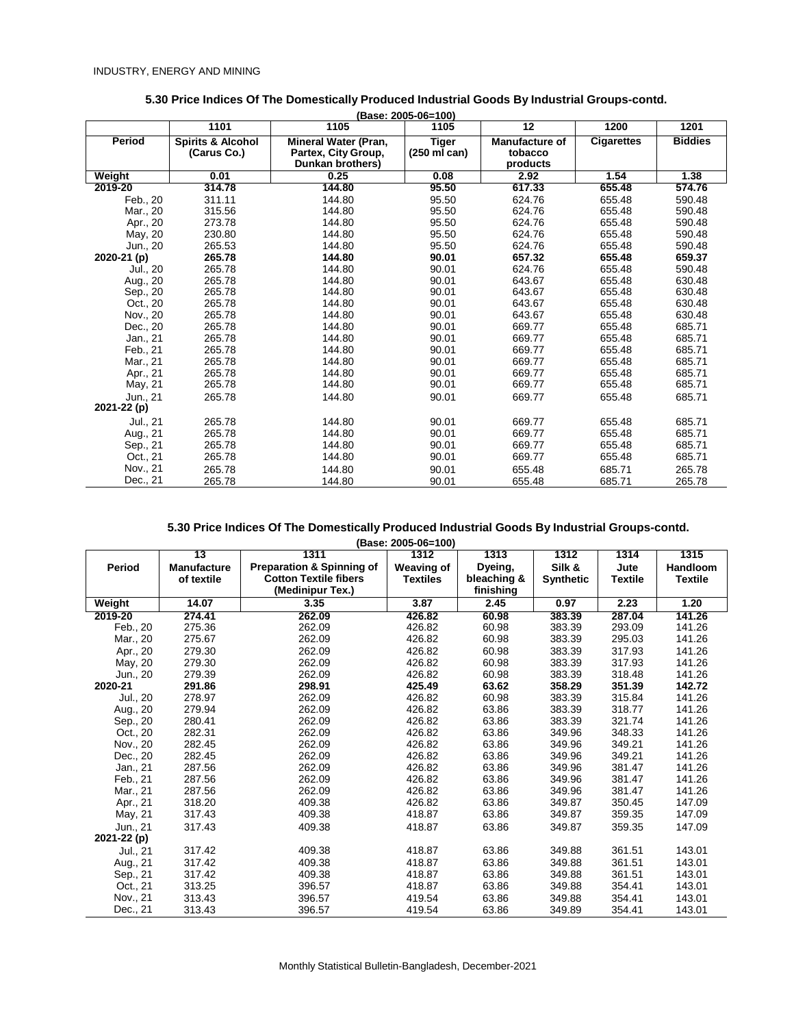|             | 1101                         | 1105                                    | 1105                   | 12                    | 1200              | 1201           |
|-------------|------------------------------|-----------------------------------------|------------------------|-----------------------|-------------------|----------------|
| Period      | <b>Spirits &amp; Alcohol</b> | Mineral Water (Pran,                    | <b>Tiger</b>           | <b>Manufacture of</b> | <b>Cigarettes</b> | <b>Biddies</b> |
|             | (Carus Co.)                  | Partex, City Group,<br>Dunkan brothers) | $(250 \text{ ml can})$ | tobacco<br>products   |                   |                |
| Weight      | 0.01                         | 0.25                                    | 0.08                   | 2.92                  | 1.54              | 1.38           |
| 2019-20     | 314.78                       | 144.80                                  | 95.50                  | 617.33                | 655.48            | 574.76         |
| Feb., 20    | 311.11                       | 144.80                                  | 95.50                  | 624.76                | 655.48            | 590.48         |
| Mar., 20    | 315.56                       | 144.80                                  | 95.50                  | 624.76                | 655.48            | 590.48         |
| Apr., 20    | 273.78                       | 144.80                                  | 95.50                  | 624.76                | 655.48            | 590.48         |
| May, 20     | 230.80                       | 144.80                                  | 95.50                  | 624.76                | 655.48            | 590.48         |
| Jun., 20    | 265.53                       | 144.80                                  | 95.50                  | 624.76                | 655.48            | 590.48         |
| 2020-21 (p) | 265.78                       | 144.80                                  | 90.01                  | 657.32                | 655.48            | 659.37         |
| Jul., 20    | 265.78                       | 144.80                                  | 90.01                  | 624.76                | 655.48            | 590.48         |
| Aug., 20    | 265.78                       | 144.80                                  | 90.01                  | 643.67                | 655.48            | 630.48         |
| Sep., 20    | 265.78                       | 144.80                                  | 90.01                  | 643.67                | 655.48            | 630.48         |
| Oct., 20    | 265.78                       | 144.80                                  | 90.01                  | 643.67                | 655.48            | 630.48         |
| Nov., 20    | 265.78                       | 144.80                                  | 90.01                  | 643.67                | 655.48            | 630.48         |
| Dec., 20    | 265.78                       | 144.80                                  | 90.01                  | 669.77                | 655.48            | 685.71         |
| Jan., 21    | 265.78                       | 144.80                                  | 90.01                  | 669.77                | 655.48            | 685.71         |
| Feb., 21    | 265.78                       | 144.80                                  | 90.01                  | 669.77                | 655.48            | 685.71         |
| Mar., 21    | 265.78                       | 144.80                                  | 90.01                  | 669.77                | 655.48            | 685.71         |
| Apr., 21    | 265.78                       | 144.80                                  | 90.01                  | 669.77                | 655.48            | 685.71         |
| May, 21     | 265.78                       | 144.80                                  | 90.01                  | 669.77                | 655.48            | 685.71         |
| Jun., 21    | 265.78                       | 144.80                                  | 90.01                  | 669.77                | 655.48            | 685.71         |
| 2021-22 (p) |                              |                                         |                        |                       |                   |                |
| Jul., 21    | 265.78                       | 144.80                                  | 90.01                  | 669.77                | 655.48            | 685.71         |
| Aug., 21    | 265.78                       | 144.80                                  | 90.01                  | 669.77                | 655.48            | 685.71         |
| Sep., 21    | 265.78                       | 144.80                                  | 90.01                  | 669.77                | 655.48            | 685.71         |
| Oct., 21    | 265.78                       | 144.80                                  | 90.01                  | 669.77                | 655.48            | 685.71         |
| Nov., 21    | 265.78                       | 144.80                                  | 90.01                  | 655.48                | 685.71            | 265.78         |
| Dec., 21    | 265.78                       | 144.80                                  | 90.01                  | 655.48                | 685.71            | 265.78         |

#### **5.30 Price Indices Of The Domestically Produced Industrial Goods By Industrial Groups-contd. (Base: 2005-06=100)**

|             | 13                 | 1311                                 | 1312              | 1313        | 1312             | 1314           | 1315            |
|-------------|--------------------|--------------------------------------|-------------------|-------------|------------------|----------------|-----------------|
| Period      | <b>Manufacture</b> | <b>Preparation &amp; Spinning of</b> | <b>Weaving of</b> | Dyeing,     | Silk &           | Jute           | <b>Handloom</b> |
|             | of textile         | <b>Cotton Textile fibers</b>         | <b>Textiles</b>   | bleaching & | <b>Synthetic</b> | <b>Textile</b> | <b>Textile</b>  |
|             |                    | (Medinipur Tex.)                     |                   | finishing   |                  |                |                 |
| Weight      | 14.07              | 3.35                                 | 3.87              | 2.45        | 0.97             | 2.23           | 1.20            |
| 2019-20     | 274.41             | 262.09                               | 426.82            | 60.98       | 383.39           | 287.04         | 141.26          |
| Feb., 20    | 275.36             | 262.09                               | 426.82            | 60.98       | 383.39           | 293.09         | 141.26          |
| Mar., 20    | 275.67             | 262.09                               | 426.82            | 60.98       | 383.39           | 295.03         | 141.26          |
| Apr., 20    | 279.30             | 262.09                               | 426.82            | 60.98       | 383.39           | 317.93         | 141.26          |
| May, 20     | 279.30             | 262.09                               | 426.82            | 60.98       | 383.39           | 317.93         | 141.26          |
| Jun., 20    | 279.39             | 262.09                               | 426.82            | 60.98       | 383.39           | 318.48         | 141.26          |
| 2020-21     | 291.86             | 298.91                               | 425.49            | 63.62       | 358.29           | 351.39         | 142.72          |
| Jul., 20    | 278.97             | 262.09                               | 426.82            | 60.98       | 383.39           | 315.84         | 141.26          |
| Aug., 20    | 279.94             | 262.09                               | 426.82            | 63.86       | 383.39           | 318.77         | 141.26          |
| Sep., 20    | 280.41             | 262.09                               | 426.82            | 63.86       | 383.39           | 321.74         | 141.26          |
| Oct., 20    | 282.31             | 262.09                               | 426.82            | 63.86       | 349.96           | 348.33         | 141.26          |
| Nov., 20    | 282.45             | 262.09                               | 426.82            | 63.86       | 349.96           | 349.21         | 141.26          |
| Dec., 20    | 282.45             | 262.09                               | 426.82            | 63.86       | 349.96           | 349.21         | 141.26          |
| Jan., 21    | 287.56             | 262.09                               | 426.82            | 63.86       | 349.96           | 381.47         | 141.26          |
| Feb., 21    | 287.56             | 262.09                               | 426.82            | 63.86       | 349.96           | 381.47         | 141.26          |
| Mar., 21    | 287.56             | 262.09                               | 426.82            | 63.86       | 349.96           | 381.47         | 141.26          |
| Apr., 21    | 318.20             | 409.38                               | 426.82            | 63.86       | 349.87           | 350.45         | 147.09          |
| May, 21     | 317.43             | 409.38                               | 418.87            | 63.86       | 349.87           | 359.35         | 147.09          |
| Jun., 21    | 317.43             | 409.38                               | 418.87            | 63.86       | 349.87           | 359.35         | 147.09          |
| 2021-22 (p) |                    |                                      |                   |             |                  |                |                 |
| Jul., 21    | 317.42             | 409.38                               | 418.87            | 63.86       | 349.88           | 361.51         | 143.01          |
| Aug., 21    | 317.42             | 409.38                               | 418.87            | 63.86       | 349.88           | 361.51         | 143.01          |
| Sep., 21    | 317.42             | 409.38                               | 418.87            | 63.86       | 349.88           | 361.51         | 143.01          |
| Oct., 21    | 313.25             | 396.57                               | 418.87            | 63.86       | 349.88           | 354.41         | 143.01          |
| Nov., 21    | 313.43             | 396.57                               | 419.54            | 63.86       | 349.88           | 354.41         | 143.01          |
| Dec., 21    | 313.43             | 396.57                               | 419.54            | 63.86       | 349.89           | 354.41         | 143.01          |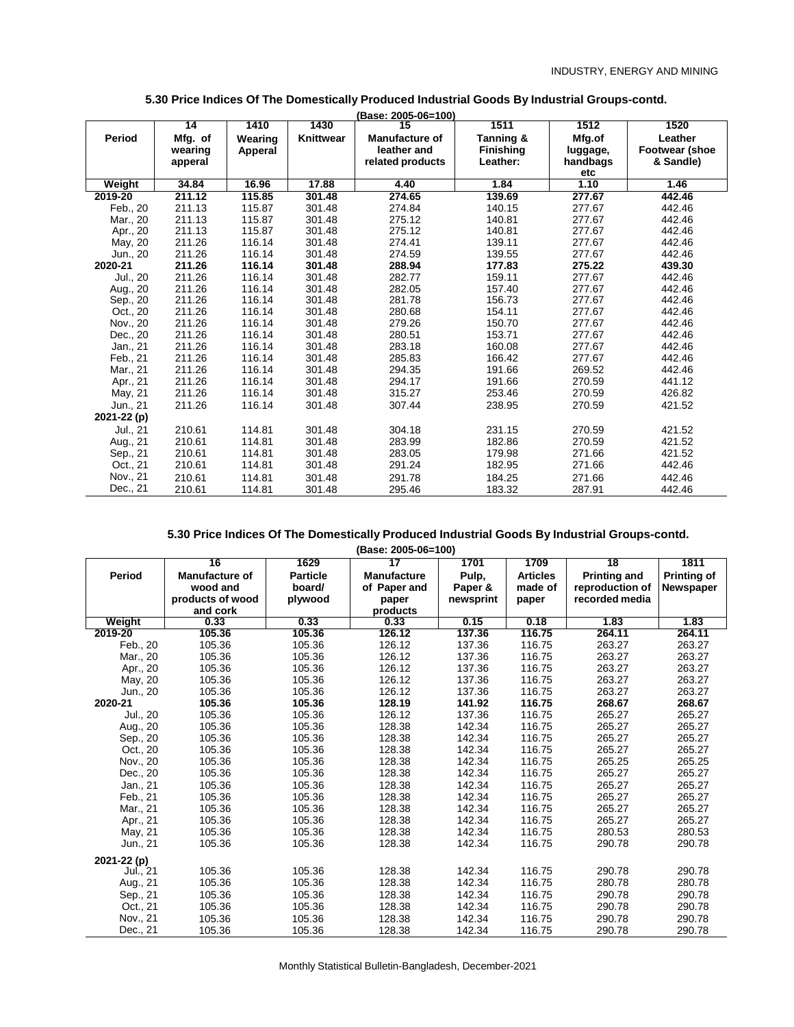|             |         |         |           | (Base: 2005-06=100)   |                  |          |                       |
|-------------|---------|---------|-----------|-----------------------|------------------|----------|-----------------------|
|             | 14      | 1410    | 1430      | 15                    | 1511             | 1512     | 1520                  |
| Period      | Mfg. of | Wearing | Knittwear | <b>Manufacture of</b> | Tanning &        | Mfg.of   | Leather               |
|             | wearing | Apperal |           | leather and           | <b>Finishing</b> | luggage, | <b>Footwear (shoe</b> |
|             | apperal |         |           | related products      | Leather:         | handbags | & Sandle)             |
|             |         |         |           |                       |                  | etc      |                       |
| Weight      | 34.84   | 16.96   | 17.88     | 4.40                  | 1.84             | 1.10     | 1.46                  |
| 2019-20     | 211.12  | 115.85  | 301.48    | 274.65                | 139.69           | 277.67   | 442.46                |
| Feb., 20    | 211.13  | 115.87  | 301.48    | 274.84                | 140.15           | 277.67   | 442.46                |
| Mar., 20    | 211.13  | 115.87  | 301.48    | 275.12                | 140.81           | 277.67   | 442.46                |
| Apr., 20    | 211.13  | 115.87  | 301.48    | 275.12                | 140.81           | 277.67   | 442.46                |
| May, 20     | 211.26  | 116.14  | 301.48    | 274.41                | 139.11           | 277.67   | 442.46                |
| Jun., 20    | 211.26  | 116.14  | 301.48    | 274.59                | 139.55           | 277.67   | 442.46                |
| 2020-21     | 211.26  | 116.14  | 301.48    | 288.94                | 177.83           | 275.22   | 439.30                |
| Jul., 20    | 211.26  | 116.14  | 301.48    | 282.77                | 159.11           | 277.67   | 442.46                |
| Aug., 20    | 211.26  | 116.14  | 301.48    | 282.05                | 157.40           | 277.67   | 442.46                |
| Sep., 20    | 211.26  | 116.14  | 301.48    | 281.78                | 156.73           | 277.67   | 442.46                |
| Oct., 20    | 211.26  | 116.14  | 301.48    | 280.68                | 154.11           | 277.67   | 442.46                |
| Nov., 20    | 211.26  | 116.14  | 301.48    | 279.26                | 150.70           | 277.67   | 442.46                |
| Dec., 20    | 211.26  | 116.14  | 301.48    | 280.51                | 153.71           | 277.67   | 442.46                |
| Jan., 21    | 211.26  | 116.14  | 301.48    | 283.18                | 160.08           | 277.67   | 442.46                |
| Feb., 21    | 211.26  | 116.14  | 301.48    | 285.83                | 166.42           | 277.67   | 442.46                |
| Mar., 21    | 211.26  | 116.14  | 301.48    | 294.35                | 191.66           | 269.52   | 442.46                |
| Apr., 21    | 211.26  | 116.14  | 301.48    | 294.17                | 191.66           | 270.59   | 441.12                |
| May, 21     | 211.26  | 116.14  | 301.48    | 315.27                | 253.46           | 270.59   | 426.82                |
| Jun., 21    | 211.26  | 116.14  | 301.48    | 307.44                | 238.95           | 270.59   | 421.52                |
| 2021-22 (p) |         |         |           |                       |                  |          |                       |
| Jul., 21    | 210.61  | 114.81  | 301.48    | 304.18                | 231.15           | 270.59   | 421.52                |
| Aug., 21    | 210.61  | 114.81  | 301.48    | 283.99                | 182.86           | 270.59   | 421.52                |
| Sep., 21    | 210.61  | 114.81  | 301.48    | 283.05                | 179.98           | 271.66   | 421.52                |
| Oct., 21    | 210.61  | 114.81  | 301.48    | 291.24                | 182.95           | 271.66   | 442.46                |
| Nov., 21    | 210.61  | 114.81  | 301.48    | 291.78                | 184.25           | 271.66   | 442.46                |
| Dec., 21    | 210.61  | 114.81  | 301.48    | 295.46                | 183.32           | 287.91   | 442.46                |

# **5.30 Price Indices Of The Domestically Produced Industrial Goods By Industrial Groups-contd.**

# **5.30 Price Indices Of The Domestically Produced Industrial Goods By Industrial Groups-contd.**

**(Base: 2005-06=100)**

|             | 16                    | 1629            | 17                 | 1701      | 1709            | 18                  | 1811               |
|-------------|-----------------------|-----------------|--------------------|-----------|-----------------|---------------------|--------------------|
| Period      | <b>Manufacture of</b> | <b>Particle</b> | <b>Manufacture</b> | Pulp,     | <b>Articles</b> | <b>Printing and</b> | <b>Printing of</b> |
|             | wood and              | board/          | of Paper and       | Paper &   | made of         | reproduction of     | <b>Newspaper</b>   |
|             | products of wood      | plywood         | paper              | newsprint | paper           | recorded media      |                    |
|             | and cork              |                 | products           |           |                 |                     |                    |
| Weight      | 0.33                  | 0.33            | 0.33               | 0.15      | 0.18            | 1.83                | 1.83               |
| 2019-20     | 105.36                | 105.36          | 126.12             | 137.36    | 116.75          | 264.11              | 264.11             |
| Feb., 20    | 105.36                | 105.36          | 126.12             | 137.36    | 116.75          | 263.27              | 263.27             |
| Mar., 20    | 105.36                | 105.36          | 126.12             | 137.36    | 116.75          | 263.27              | 263.27             |
| Apr., 20    | 105.36                | 105.36          | 126.12             | 137.36    | 116.75          | 263.27              | 263.27             |
| May, 20     | 105.36                | 105.36          | 126.12             | 137.36    | 116.75          | 263.27              | 263.27             |
| Jun., 20    | 105.36                | 105.36          | 126.12             | 137.36    | 116.75          | 263.27              | 263.27             |
| 2020-21     | 105.36                | 105.36          | 128.19             | 141.92    | 116.75          | 268.67              | 268.67             |
| Jul., 20    | 105.36                | 105.36          | 126.12             | 137.36    | 116.75          | 265.27              | 265.27             |
| Aug., 20    | 105.36                | 105.36          | 128.38             | 142.34    | 116.75          | 265.27              | 265.27             |
| Sep., 20    | 105.36                | 105.36          | 128.38             | 142.34    | 116.75          | 265.27              | 265.27             |
| Oct., 20    | 105.36                | 105.36          | 128.38             | 142.34    | 116.75          | 265.27              | 265.27             |
| Nov., 20    | 105.36                | 105.36          | 128.38             | 142.34    | 116.75          | 265.25              | 265.25             |
| Dec., 20    | 105.36                | 105.36          | 128.38             | 142.34    | 116.75          | 265.27              | 265.27             |
| Jan., 21    | 105.36                | 105.36          | 128.38             | 142.34    | 116.75          | 265.27              | 265.27             |
| Feb., 21    | 105.36                | 105.36          | 128.38             | 142.34    | 116.75          | 265.27              | 265.27             |
| Mar., 21    | 105.36                | 105.36          | 128.38             | 142.34    | 116.75          | 265.27              | 265.27             |
| Apr., 21    | 105.36                | 105.36          | 128.38             | 142.34    | 116.75          | 265.27              | 265.27             |
| May, 21     | 105.36                | 105.36          | 128.38             | 142.34    | 116.75          | 280.53              | 280.53             |
| Jun., 21    | 105.36                | 105.36          | 128.38             | 142.34    | 116.75          | 290.78              | 290.78             |
| 2021-22 (p) |                       |                 |                    |           |                 |                     |                    |
| Jul., 21    | 105.36                | 105.36          | 128.38             | 142.34    | 116.75          | 290.78              | 290.78             |
| Aug., 21    | 105.36                | 105.36          | 128.38             | 142.34    | 116.75          | 280.78              | 280.78             |
| Sep., 21    | 105.36                | 105.36          | 128.38             | 142.34    | 116.75          | 290.78              | 290.78             |
| Oct., 21    | 105.36                | 105.36          | 128.38             | 142.34    | 116.75          | 290.78              | 290.78             |
| Nov., 21    | 105.36                | 105.36          | 128.38             | 142.34    | 116.75          | 290.78              | 290.78             |
| Dec., 21    | 105.36                | 105.36          | 128.38             | 142.34    | 116.75          | 290.78              | 290.78             |

*Monthly Statistical Bulletin-Bangladesh, December-2021*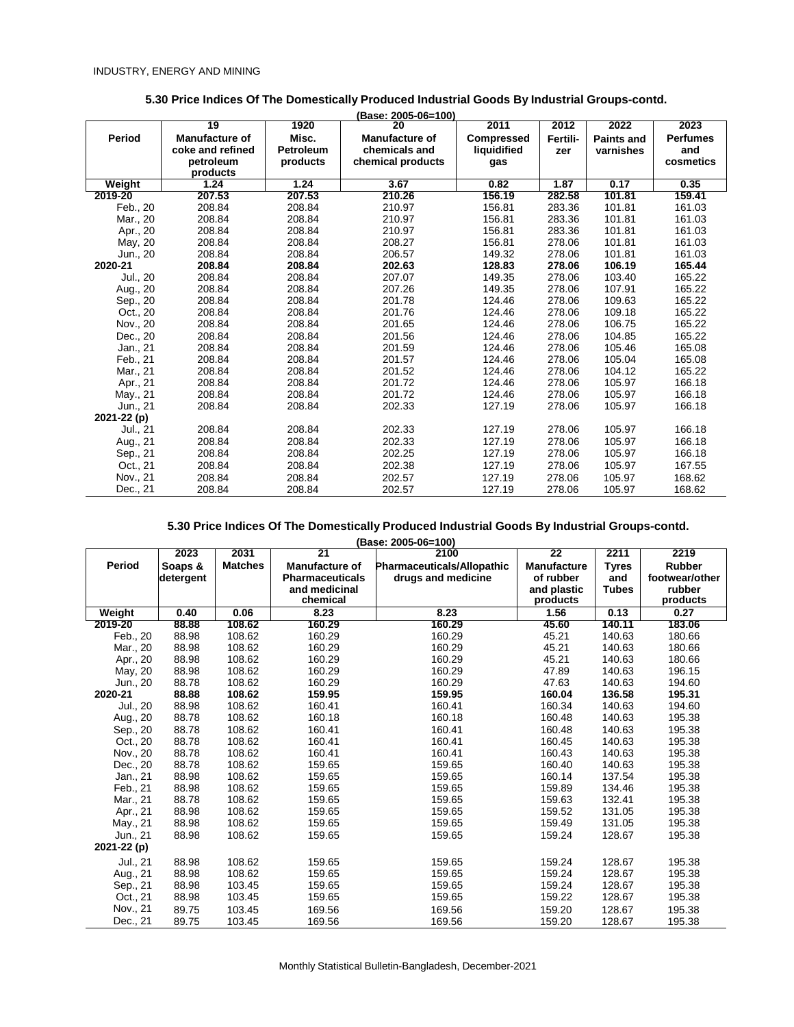|             |                       |                  | (Base: 2005-06=100)   |                   |          |                   |                 |
|-------------|-----------------------|------------------|-----------------------|-------------------|----------|-------------------|-----------------|
|             | 19                    | 1920             | 20                    | 2011              | 2012     | 2022              | 2023            |
| Period      | <b>Manufacture of</b> | Misc.            | <b>Manufacture of</b> | <b>Compressed</b> | Fertili- | <b>Paints and</b> | <b>Perfumes</b> |
|             | coke and refined      | <b>Petroleum</b> | chemicals and         | liquidified       | zer      | varnishes         | and             |
|             | petroleum             | products         | chemical products     | gas               |          |                   | cosmetics       |
|             | products              |                  |                       |                   |          |                   |                 |
| Weight      | 1.24                  | 1.24             | 3.67                  | 0.82              | 1.87     | 0.17              | 0.35            |
| 2019-20     | 207.53                | 207.53           | 210.26                | 156.19            | 282.58   | 101.81            | 159.41          |
| Feb., 20    | 208.84                | 208.84           | 210.97                | 156.81            | 283.36   | 101.81            | 161.03          |
| Mar., 20    | 208.84                | 208.84           | 210.97                | 156.81            | 283.36   | 101.81            | 161.03          |
| Apr., 20    | 208.84                | 208.84           | 210.97                | 156.81            | 283.36   | 101.81            | 161.03          |
| May, 20     | 208.84                | 208.84           | 208.27                | 156.81            | 278.06   | 101.81            | 161.03          |
| Jun., 20    | 208.84                | 208.84           | 206.57                | 149.32            | 278.06   | 101.81            | 161.03          |
| 2020-21     | 208.84                | 208.84           | 202.63                | 128.83            | 278.06   | 106.19            | 165.44          |
| Jul., 20    | 208.84                | 208.84           | 207.07                | 149.35            | 278.06   | 103.40            | 165.22          |
| Aug., 20    | 208.84                | 208.84           | 207.26                | 149.35            | 278.06   | 107.91            | 165.22          |
| Sep., 20    | 208.84                | 208.84           | 201.78                | 124.46            | 278.06   | 109.63            | 165.22          |
| Oct., 20    | 208.84                | 208.84           | 201.76                | 124.46            | 278.06   | 109.18            | 165.22          |
| Nov., 20    | 208.84                | 208.84           | 201.65                | 124.46            | 278.06   | 106.75            | 165.22          |
| Dec., 20    | 208.84                | 208.84           | 201.56                | 124.46            | 278.06   | 104.85            | 165.22          |
| Jan., 21    | 208.84                | 208.84           | 201.59                | 124.46            | 278.06   | 105.46            | 165.08          |
| Feb., 21    | 208.84                | 208.84           | 201.57                | 124.46            | 278.06   | 105.04            | 165.08          |
| Mar., 21    | 208.84                | 208.84           | 201.52                | 124.46            | 278.06   | 104.12            | 165.22          |
| Apr., 21    | 208.84                | 208.84           | 201.72                | 124.46            | 278.06   | 105.97            | 166.18          |
| May., 21    | 208.84                | 208.84           | 201.72                | 124.46            | 278.06   | 105.97            | 166.18          |
| Jun., 21    | 208.84                | 208.84           | 202.33                | 127.19            | 278.06   | 105.97            | 166.18          |
| 2021-22 (p) |                       |                  |                       |                   |          |                   |                 |
| Jul., 21    | 208.84                | 208.84           | 202.33                | 127.19            | 278.06   | 105.97            | 166.18          |
| Aug., 21    | 208.84                | 208.84           | 202.33                | 127.19            | 278.06   | 105.97            | 166.18          |
| Sep., 21    | 208.84                | 208.84           | 202.25                | 127.19            | 278.06   | 105.97            | 166.18          |
| Oct., 21    | 208.84                | 208.84           | 202.38                | 127.19            | 278.06   | 105.97            | 167.55          |
| Nov., 21    | 208.84                | 208.84           | 202.57                | 127.19            | 278.06   | 105.97            | 168.62          |
| Dec., 21    | 208.84                | 208.84           | 202.57                | 127.19            | 278.06   | 105.97            | 168.62          |

### **5.30 Price Indices Of The Domestically Produced Industrial Goods By Industrial Groups-contd.**

|             | 2023      | 2031           | 21                     | (Base: 2005-06=100)<br>2100       | 22                 | 2211         | 2219           |
|-------------|-----------|----------------|------------------------|-----------------------------------|--------------------|--------------|----------------|
| Period      | Soaps &   | <b>Matches</b> | <b>Manufacture of</b>  | <b>Pharmaceuticals/Allopathic</b> | <b>Manufacture</b> | Tyres        | <b>Rubber</b>  |
|             | detergent |                | <b>Pharmaceuticals</b> | drugs and medicine                | of rubber          | and          | footwear/other |
|             |           |                | and medicinal          |                                   | and plastic        | <b>Tubes</b> | rubber         |
|             |           |                | chemical               |                                   | products           |              | products       |
| Weight      | 0.40      | 0.06           | 8.23                   | 8.23                              | 1.56               | 0.13         | 0.27           |
| 2019-20     | 88.88     | 108.62         | 160.29                 | 160.29                            | 45.60              | 140.11       | 183.06         |
| Feb., 20    | 88.98     | 108.62         | 160.29                 | 160.29                            | 45.21              | 140.63       | 180.66         |
| Mar., 20    | 88.98     | 108.62         | 160.29                 | 160.29                            | 45.21              | 140.63       | 180.66         |
| Apr., 20    | 88.98     | 108.62         | 160.29                 | 160.29                            | 45.21              | 140.63       | 180.66         |
| May, 20     | 88.98     | 108.62         | 160.29                 | 160.29                            | 47.89              | 140.63       | 196.15         |
| Jun., 20    | 88.78     | 108.62         | 160.29                 | 160.29                            | 47.63              | 140.63       | 194.60         |
| 2020-21     | 88.88     | 108.62         | 159.95                 | 159.95                            | 160.04             | 136.58       | 195.31         |
| Jul., 20    | 88.98     | 108.62         | 160.41                 | 160.41                            | 160.34             | 140.63       | 194.60         |
| Aug., 20    | 88.78     | 108.62         | 160.18                 | 160.18                            | 160.48             | 140.63       | 195.38         |
| Sep., 20    | 88.78     | 108.62         | 160.41                 | 160.41                            | 160.48             | 140.63       | 195.38         |
| Oct., 20    | 88.78     | 108.62         | 160.41                 | 160.41                            | 160.45             | 140.63       | 195.38         |
| Nov., 20    | 88.78     | 108.62         | 160.41                 | 160.41                            | 160.43             | 140.63       | 195.38         |
| Dec., 20    | 88.78     | 108.62         | 159.65                 | 159.65                            | 160.40             | 140.63       | 195.38         |
| Jan., 21    | 88.98     | 108.62         | 159.65                 | 159.65                            | 160.14             | 137.54       | 195.38         |
| Feb., 21    | 88.98     | 108.62         | 159.65                 | 159.65                            | 159.89             | 134.46       | 195.38         |
| Mar., 21    | 88.78     | 108.62         | 159.65                 | 159.65                            | 159.63             | 132.41       | 195.38         |
| Apr., 21    | 88.98     | 108.62         | 159.65                 | 159.65                            | 159.52             | 131.05       | 195.38         |
| May., 21    | 88.98     | 108.62         | 159.65                 | 159.65                            | 159.49             | 131.05       | 195.38         |
| Jun., 21    | 88.98     | 108.62         | 159.65                 | 159.65                            | 159.24             | 128.67       | 195.38         |
| 2021-22 (p) |           |                |                        |                                   |                    |              |                |
| Jul., 21    | 88.98     | 108.62         | 159.65                 | 159.65                            | 159.24             | 128.67       | 195.38         |
| Aug., 21    | 88.98     | 108.62         | 159.65                 | 159.65                            | 159.24             | 128.67       | 195.38         |
| Sep., 21    | 88.98     | 103.45         | 159.65                 | 159.65                            | 159.24             | 128.67       | 195.38         |
| Oct., 21    | 88.98     | 103.45         | 159.65                 | 159.65                            | 159.22             | 128.67       | 195.38         |
| Nov., 21    | 89.75     | 103.45         | 169.56                 | 169.56                            | 159.20             | 128.67       | 195.38         |
| Dec., 21    | 89.75     | 103.45         | 169.56                 | 169.56                            | 159.20             | 128.67       | 195.38         |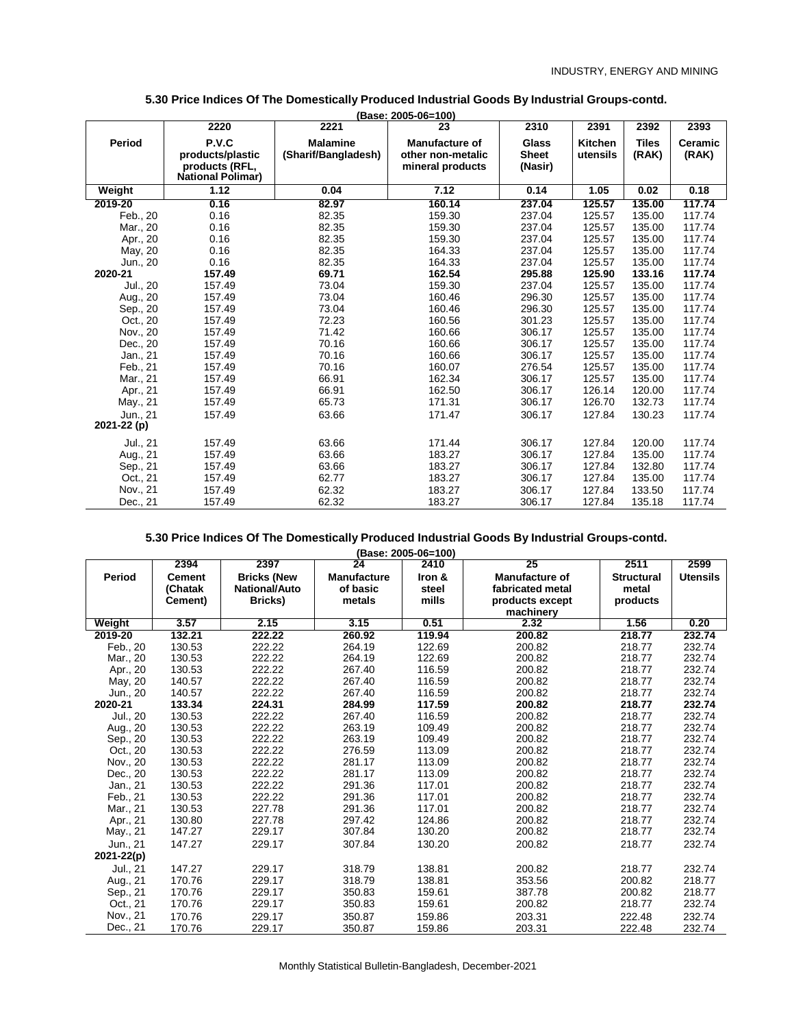|                         | 2220                                       | 2221                                   | (Base: 2005-06=100)<br>23                  | 2310                         | 2391                       | 2392                  | 2393             |
|-------------------------|--------------------------------------------|----------------------------------------|--------------------------------------------|------------------------------|----------------------------|-----------------------|------------------|
| <b>Period</b>           | P.V.C<br>products/plastic                  | <b>Malamine</b><br>(Sharif/Bangladesh) | <b>Manufacture of</b><br>other non-metalic | <b>Glass</b><br><b>Sheet</b> | <b>Kitchen</b><br>utensils | <b>Tiles</b><br>(RAK) | Ceramic<br>(RAK) |
|                         | products (RFL,<br><b>National Polimar)</b> |                                        | mineral products                           | (Nasir)                      |                            |                       |                  |
| Weight                  | 1.12                                       | 0.04                                   | 7.12                                       | 0.14                         | 1.05                       | 0.02                  | 0.18             |
| 2019-20                 | 0.16                                       | 82.97                                  | 160.14                                     | 237.04                       | 125.57                     | 135.00                | 117.74           |
| Feb., 20                | 0.16                                       | 82.35                                  | 159.30                                     | 237.04                       | 125.57                     | 135.00                | 117.74           |
| Mar., 20                | 0.16                                       | 82.35                                  | 159.30                                     | 237.04                       | 125.57                     | 135.00                | 117.74           |
| Apr., 20                | 0.16                                       | 82.35                                  | 159.30                                     | 237.04                       | 125.57                     | 135.00                | 117.74           |
| May, 20                 | 0.16                                       | 82.35                                  | 164.33                                     | 237.04                       | 125.57                     | 135.00                | 117.74           |
| Jun., 20                | 0.16                                       | 82.35                                  | 164.33                                     | 237.04                       | 125.57                     | 135.00                | 117.74           |
| 2020-21                 | 157.49                                     | 69.71                                  | 162.54                                     | 295.88                       | 125.90                     | 133.16                | 117.74           |
| Jul., 20                | 157.49                                     | 73.04                                  | 159.30                                     | 237.04                       | 125.57                     | 135.00                | 117.74           |
| Aug., 20                | 157.49                                     | 73.04                                  | 160.46                                     | 296.30                       | 125.57                     | 135.00                | 117.74           |
| Sep., 20                | 157.49                                     | 73.04                                  | 160.46                                     | 296.30                       | 125.57                     | 135.00                | 117.74           |
| Oct., 20                | 157.49                                     | 72.23                                  | 160.56                                     | 301.23                       | 125.57                     | 135.00                | 117.74           |
| Nov., 20                | 157.49                                     | 71.42                                  | 160.66                                     | 306.17                       | 125.57                     | 135.00                | 117.74           |
| Dec., 20                | 157.49                                     | 70.16                                  | 160.66                                     | 306.17                       | 125.57                     | 135.00                | 117.74           |
| Jan., 21                | 157.49                                     | 70.16                                  | 160.66                                     | 306.17                       | 125.57                     | 135.00                | 117.74           |
| Feb., 21                | 157.49                                     | 70.16                                  | 160.07                                     | 276.54                       | 125.57                     | 135.00                | 117.74           |
| Mar., 21                | 157.49                                     | 66.91                                  | 162.34                                     | 306.17                       | 125.57                     | 135.00                | 117.74           |
| Apr., 21                | 157.49                                     | 66.91                                  | 162.50                                     | 306.17                       | 126.14                     | 120.00                | 117.74           |
| May., 21                | 157.49                                     | 65.73                                  | 171.31                                     | 306.17                       | 126.70                     | 132.73                | 117.74           |
| Jun., 21<br>2021-22 (p) | 157.49                                     | 63.66                                  | 171.47                                     | 306.17                       | 127.84                     | 130.23                | 117.74           |
| Jul., 21                | 157.49                                     | 63.66                                  | 171.44                                     | 306.17                       | 127.84                     | 120.00                | 117.74           |
| Aug., 21                | 157.49                                     | 63.66                                  | 183.27                                     | 306.17                       | 127.84                     | 135.00                | 117.74           |
| Sep., 21                | 157.49                                     | 63.66                                  | 183.27                                     | 306.17                       | 127.84                     | 132.80                | 117.74           |
| Oct., 21                | 157.49                                     | 62.77                                  | 183.27                                     | 306.17                       | 127.84                     | 135.00                | 117.74           |
| Nov., 21                | 157.49                                     | 62.32                                  | 183.27                                     | 306.17                       | 127.84                     | 133.50                | 117.74           |
| Dec., 21                | 157.49                                     | 62.32                                  | 183.27                                     | 306.17                       | 127.84                     | 135.18                | 117.74           |

#### **5.30 Price Indices Of The Domestically Produced Industrial Goods By Industrial Groups-contd. (Base: 2005-06=100)**

**(Base: 2005-06=100)**

|            | 2394          | 2397                 | 24                 | 2410   | 25                    | 2511              | 2599            |
|------------|---------------|----------------------|--------------------|--------|-----------------------|-------------------|-----------------|
| Period     | <b>Cement</b> | <b>Bricks (New</b>   | <b>Manufacture</b> | Iron & | <b>Manufacture of</b> | <b>Structural</b> | <b>Utensils</b> |
|            | (Chatak       | <b>National/Auto</b> | of basic           | steel  | fabricated metal      | metal             |                 |
|            | Cement)       | Bricks)              | metals             | mills  | products except       | products          |                 |
|            |               |                      |                    |        | machinery             |                   |                 |
| Weight     | 3.57          | 2.15                 | 3.15               | 0.51   | 2.32                  | 1.56              | 0.20            |
| 2019-20    | 132.21        | 222.22               | 260.92             | 119.94 | 200.82                | 218.77            | 232.74          |
| Feb., 20   | 130.53        | 222.22               | 264.19             | 122.69 | 200.82                | 218.77            | 232.74          |
| Mar., 20   | 130.53        | 222.22               | 264.19             | 122.69 | 200.82                | 218.77            | 232.74          |
| Apr., 20   | 130.53        | 222.22               | 267.40             | 116.59 | 200.82                | 218.77            | 232.74          |
| May, 20    | 140.57        | 222.22               | 267.40             | 116.59 | 200.82                | 218.77            | 232.74          |
| Jun., 20   | 140.57        | 222.22               | 267.40             | 116.59 | 200.82                | 218.77            | 232.74          |
| 2020-21    | 133.34        | 224.31               | 284.99             | 117.59 | 200.82                | 218.77            | 232.74          |
| Jul., 20   | 130.53        | 222.22               | 267.40             | 116.59 | 200.82                | 218.77            | 232.74          |
| Aug., 20   | 130.53        | 222.22               | 263.19             | 109.49 | 200.82                | 218.77            | 232.74          |
| Sep., 20   | 130.53        | 222.22               | 263.19             | 109.49 | 200.82                | 218.77            | 232.74          |
| Oct., 20   | 130.53        | 222.22               | 276.59             | 113.09 | 200.82                | 218.77            | 232.74          |
| Nov., 20   | 130.53        | 222.22               | 281.17             | 113.09 | 200.82                | 218.77            | 232.74          |
| Dec., 20   | 130.53        | 222.22               | 281.17             | 113.09 | 200.82                | 218.77            | 232.74          |
| Jan., 21   | 130.53        | 222.22               | 291.36             | 117.01 | 200.82                | 218.77            | 232.74          |
| Feb., 21   | 130.53        | 222.22               | 291.36             | 117.01 | 200.82                | 218.77            | 232.74          |
| Mar., 21   | 130.53        | 227.78               | 291.36             | 117.01 | 200.82                | 218.77            | 232.74          |
| Apr., 21   | 130.80        | 227.78               | 297.42             | 124.86 | 200.82                | 218.77            | 232.74          |
| May., 21   | 147.27        | 229.17               | 307.84             | 130.20 | 200.82                | 218.77            | 232.74          |
| Jun., 21   | 147.27        | 229.17               | 307.84             | 130.20 | 200.82                | 218.77            | 232.74          |
| 2021-22(p) |               |                      |                    |        |                       |                   |                 |
| Jul., 21   | 147.27        | 229.17               | 318.79             | 138.81 | 200.82                | 218.77            | 232.74          |
| Aug., 21   | 170.76        | 229.17               | 318.79             | 138.81 | 353.56                | 200.82            | 218.77          |
| Sep., 21   | 170.76        | 229.17               | 350.83             | 159.61 | 387.78                | 200.82            | 218.77          |
| Oct., 21   | 170.76        | 229.17               | 350.83             | 159.61 | 200.82                | 218.77            | 232.74          |
| Nov., 21   | 170.76        | 229.17               | 350.87             | 159.86 | 203.31                | 222.48            | 232.74          |
| Dec., 21   | 170.76        | 229.17               | 350.87             | 159.86 | 203.31                | 222.48            | 232.74          |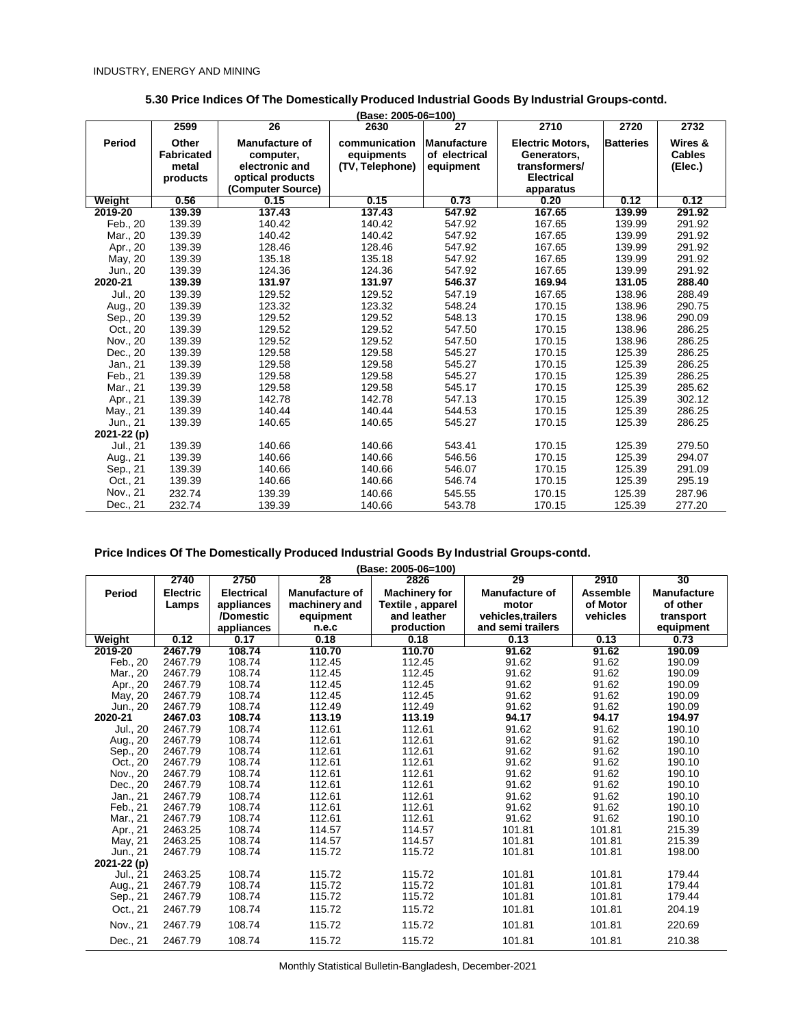|             | 2599              | 26                    | (Base: 2005-06=100)<br>2630 | $\overline{27}$    | 2710                    | 2720             | 2732          |
|-------------|-------------------|-----------------------|-----------------------------|--------------------|-------------------------|------------------|---------------|
| Period      | Other             | <b>Manufacture of</b> | communication               | <b>Manufacture</b> | <b>Electric Motors,</b> | <b>Batteries</b> | Wires &       |
|             | <b>Fabricated</b> | computer,             | equipments                  | of electrical      | Generators.             |                  | <b>Cables</b> |
|             | metal             | electronic and        | (TV, Telephone)             | equipment          | transformers/           |                  | (Elec.)       |
|             | products          | optical products      |                             |                    | <b>Electrical</b>       |                  |               |
|             |                   | (Computer Source)     |                             |                    | apparatus               |                  |               |
| Weight      | 0.56              | 0.15                  | 0.15                        | 0.73               | 0.20                    | 0.12             | 0.12          |
| 2019-20     | 139.39            | 137.43                | 137.43                      | 547.92             | 167.65                  | 139.99           | 291.92        |
| Feb., 20    | 139.39            | 140.42                | 140.42                      | 547.92             | 167.65                  | 139.99           | 291.92        |
| Mar., 20    | 139.39            | 140.42                | 140.42                      | 547.92             | 167.65                  | 139.99           | 291.92        |
| Apr., 20    | 139.39            | 128.46                | 128.46                      | 547.92             | 167.65                  | 139.99           | 291.92        |
| May, 20     | 139.39            | 135.18                | 135.18                      | 547.92             | 167.65                  | 139.99           | 291.92        |
| Jun., 20    | 139.39            | 124.36                | 124.36                      | 547.92             | 167.65                  | 139.99           | 291.92        |
| 2020-21     | 139.39            | 131.97                | 131.97                      | 546.37             | 169.94                  | 131.05           | 288.40        |
| Jul., 20    | 139.39            | 129.52                | 129.52                      | 547.19             | 167.65                  | 138.96           | 288.49        |
| Aug., 20    | 139.39            | 123.32                | 123.32                      | 548.24             | 170.15                  | 138.96           | 290.75        |
| Sep., 20    | 139.39            | 129.52                | 129.52                      | 548.13             | 170.15                  | 138.96           | 290.09        |
| Oct., 20    | 139.39            | 129.52                | 129.52                      | 547.50             | 170.15                  | 138.96           | 286.25        |
| Nov., 20    | 139.39            | 129.52                | 129.52                      | 547.50             | 170.15                  | 138.96           | 286.25        |
| Dec., 20    | 139.39            | 129.58                | 129.58                      | 545.27             | 170.15                  | 125.39           | 286.25        |
| Jan., 21    | 139.39            | 129.58                | 129.58                      | 545.27             | 170.15                  | 125.39           | 286.25        |
| Feb., 21    | 139.39            | 129.58                | 129.58                      | 545.27             | 170.15                  | 125.39           | 286.25        |
| Mar., 21    | 139.39            | 129.58                | 129.58                      | 545.17             | 170.15                  | 125.39           | 285.62        |
| Apr., 21    | 139.39            | 142.78                | 142.78                      | 547.13             | 170.15                  | 125.39           | 302.12        |
| May., 21    | 139.39            | 140.44                | 140.44                      | 544.53             | 170.15                  | 125.39           | 286.25        |
| Jun., 21    | 139.39            | 140.65                | 140.65                      | 545.27             | 170.15                  | 125.39           | 286.25        |
| 2021-22 (p) |                   |                       |                             |                    |                         |                  |               |
| Jul., 21    | 139.39            | 140.66                | 140.66                      | 543.41             | 170.15                  | 125.39           | 279.50        |
| Aug., 21    | 139.39            | 140.66                | 140.66                      | 546.56             | 170.15                  | 125.39           | 294.07        |
| Sep., 21    | 139.39            | 140.66                | 140.66                      | 546.07             | 170.15                  | 125.39           | 291.09        |
| Oct., 21    | 139.39            | 140.66                | 140.66                      | 546.74             | 170.15                  | 125.39           | 295.19        |
| Nov., 21    | 232.74            | 139.39                | 140.66                      | 545.55             | 170.15                  | 125.39           | 287.96        |
| Dec., 21    | 232.74            | 139.39                | 140.66                      | 543.78             | 170.15                  | 125.39           | 277.20        |

**5.30 Price Indices Of The Domestically Produced Industrial Goods By Industrial Groups-contd.**

|  |  |  |  | Price Indices Of The Domestically Produced Industrial Goods By Industrial Groups-contd. |
|--|--|--|--|-----------------------------------------------------------------------------------------|
|  |  |  |  |                                                                                         |

**(Base: 2005-06=100)**

|             | 2740            | 2750              | 28                    | Puov. Luuu vu-Tuuj<br>2826 | 29                    | 2910     | 30                 |
|-------------|-----------------|-------------------|-----------------------|----------------------------|-----------------------|----------|--------------------|
| Period      | <b>Electric</b> | <b>Electrical</b> | <b>Manufacture of</b> | <b>Machinery for</b>       | <b>Manufacture of</b> |          | <b>Manufacture</b> |
|             | Lamps           | appliances        | machinery and         | Textile, apparel           | motor                 | of Motor | of other           |
|             |                 | /Domestic         | equipment             | and leather                | vehicles.trailers     | vehicles | transport          |
|             |                 | appliances        | n.e.c                 | production                 | and semi trailers     |          | equipment          |
| Weight      | 0.12            | 0.17              | 0.18                  | 0.18                       | 0.13                  | 0.13     | 0.73               |
| 2019-20     | 2467.79         | 108.74            | 110.70                | 110.70                     | 91.62                 | 91.62    | 190.09             |
| Feb., 20    | 2467.79         | 108.74            | 112.45                | 112.45                     | 91.62                 | 91.62    | 190.09             |
| Mar., 20    | 2467.79         | 108.74            | 112.45                | 112.45                     | 91.62                 | 91.62    | 190.09             |
| Apr., 20    | 2467.79         | 108.74            | 112.45                | 112.45                     | 91.62                 | 91.62    | 190.09             |
| May, 20     | 2467.79         | 108.74            | 112.45                | 112.45                     | 91.62                 | 91.62    | 190.09             |
| Jun., 20    | 2467.79         | 108.74            | 112.49                | 112.49                     | 91.62                 | 91.62    | 190.09             |
| 2020-21     | 2467.03         | 108.74            | 113.19                | 113.19                     | 94.17                 | 94.17    | 194.97             |
| Jul., 20    | 2467.79         | 108.74            | 112.61                | 112.61                     | 91.62                 | 91.62    | 190.10             |
| Aug., 20    | 2467.79         | 108.74            | 112.61                | 112.61                     | 91.62                 | 91.62    | 190.10             |
| Sep., 20    | 2467.79         | 108.74            | 112.61                | 112.61                     | 91.62                 | 91.62    | 190.10             |
| Oct., 20    | 2467.79         | 108.74            | 112.61                | 112.61                     | 91.62                 | 91.62    | 190.10             |
| Nov., 20    | 2467.79         | 108.74            | 112.61                | 112.61                     | 91.62                 | 91.62    | 190.10             |
| Dec., 20    | 2467.79         | 108.74            | 112.61                | 112.61                     | 91.62                 | 91.62    | 190.10             |
| Jan., 21    | 2467.79         | 108.74            | 112.61                | 112.61                     | 91.62                 | 91.62    | 190.10             |
| Feb., 21    | 2467.79         | 108.74            | 112.61                | 112.61                     | 91.62                 | 91.62    | 190.10             |
| Mar., 21    | 2467.79         | 108.74            | 112.61                | 112.61                     | 91.62                 | 91.62    | 190.10             |
| Apr., 21    | 2463.25         | 108.74            | 114.57                | 114.57                     | 101.81                | 101.81   | 215.39             |
| May, 21     | 2463.25         | 108.74            | 114.57                | 114.57                     | 101.81                | 101.81   | 215.39             |
| Jun., 21    | 2467.79         | 108.74            | 115.72                | 115.72                     | 101.81                | 101.81   | 198.00             |
| 2021-22 (p) |                 |                   |                       |                            |                       |          |                    |
| Jul., 21    | 2463.25         | 108.74            | 115.72                | 115.72                     | 101.81                | 101.81   | 179.44             |
| Aug., 21    | 2467.79         | 108.74            | 115.72                | 115.72                     | 101.81                | 101.81   | 179.44             |
| Sep., 21    | 2467.79         | 108.74            | 115.72                | 115.72                     | 101.81                | 101.81   | 179.44             |
| Oct., 21    | 2467.79         | 108.74            | 115.72                | 115.72                     | 101.81                | 101.81   | 204.19             |
| Nov., 21    | 2467.79         | 108.74            | 115.72                | 115.72                     | 101.81                | 101.81   | 220.69             |
| Dec., 21    | 2467.79         | 108.74            | 115.72                | 115.72                     | 101.81                | 101.81   | 210.38             |

*Monthly Statistical Bulletin-Bangladesh, December-2021*